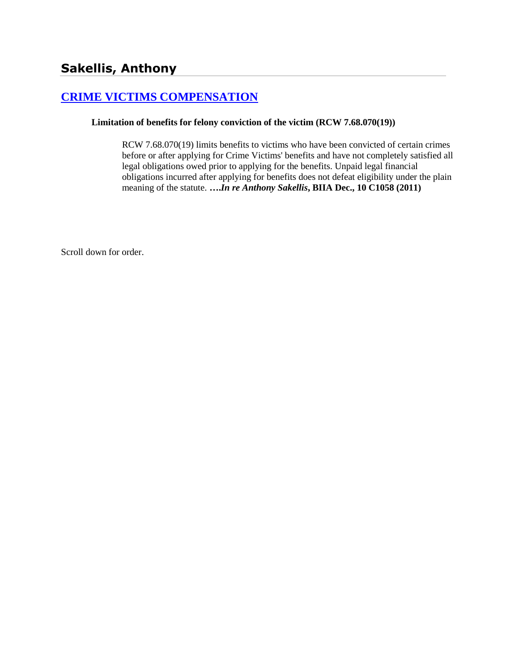# **[CRIME VICTIMS COMPENSATION](http://www.biia.wa.gov/SDSubjectIndex.html#CRIME_VICTIMS_COMPENSATION)**

#### **Limitation of benefits for felony conviction of the victim (RCW 7.68.070(19))**

RCW 7.68.070(19) limits benefits to victims who have been convicted of certain crimes before or after applying for Crime Victims' benefits and have not completely satisfied all legal obligations owed prior to applying for the benefits. Unpaid legal financial obligations incurred after applying for benefits does not defeat eligibility under the plain meaning of the statute. **….***In re Anthony Sakellis***, BIIA Dec., 10 C1058 (2011)**

Scroll down for order.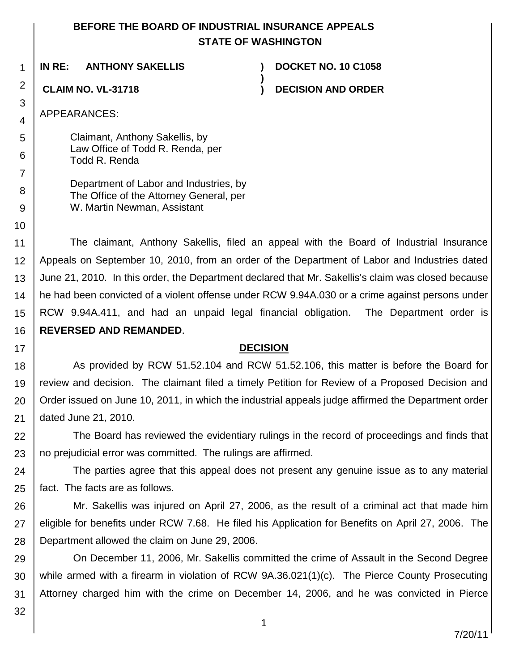# **BEFORE THE BOARD OF INDUSTRIAL INSURANCE APPEALS STATE OF WASHINGTON**

**)**

**IN RE: ANTHONY SAKELLIS ) DOCKET NO. 10 C1058**

# **CLAIM NO. VL-31718 ) DECISION AND ORDER**

APPEARANCES:

1

2

3

4

5

6

7

8 9

10

17

Claimant, Anthony Sakellis, by Law Office of Todd R. Renda, per Todd R. Renda

Department of Labor and Industries, by The Office of the Attorney General, per W. Martin Newman, Assistant

11 12 13 14 15 16 The claimant, Anthony Sakellis, filed an appeal with the Board of Industrial Insurance Appeals on September 10, 2010, from an order of the Department of Labor and Industries dated June 21, 2010. In this order, the Department declared that Mr. Sakellis's claim was closed because he had been convicted of a violent offense under RCW 9.94A.030 or a crime against persons under RCW 9.94A.411, and had an unpaid legal financial obligation. The Department order is **REVERSED AND REMANDED**.

## **DECISION**

18 19 20 21 As provided by RCW 51.52.104 and RCW 51.52.106, this matter is before the Board for review and decision. The claimant filed a timely Petition for Review of a Proposed Decision and Order issued on June 10, 2011, in which the industrial appeals judge affirmed the Department order dated June 21, 2010.

22 23 The Board has reviewed the evidentiary rulings in the record of proceedings and finds that no prejudicial error was committed. The rulings are affirmed.

24 25 The parties agree that this appeal does not present any genuine issue as to any material fact. The facts are as follows.

26 27 28 Mr. Sakellis was injured on April 27, 2006, as the result of a criminal act that made him eligible for benefits under RCW 7.68. He filed his Application for Benefits on April 27, 2006. The Department allowed the claim on June 29, 2006.

29 30 31 On December 11, 2006, Mr. Sakellis committed the crime of Assault in the Second Degree while armed with a firearm in violation of RCW 9A.36.021(1)(c). The Pierce County Prosecuting Attorney charged him with the crime on December 14, 2006, and he was convicted in Pierce

32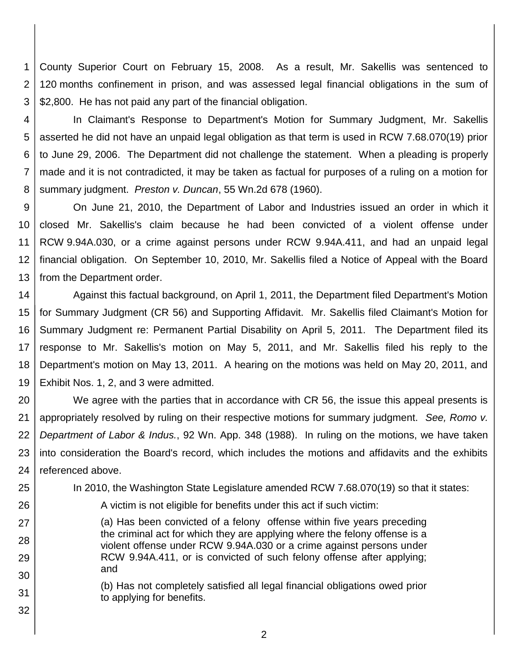1 2 3 County Superior Court on February 15, 2008. As a result, Mr. Sakellis was sentenced to 120 months confinement in prison, and was assessed legal financial obligations in the sum of \$2,800. He has not paid any part of the financial obligation.

4 5 6 7 8 In Claimant's Response to Department's Motion for Summary Judgment, Mr. Sakellis asserted he did not have an unpaid legal obligation as that term is used in RCW 7.68.070(19) prior to June 29, 2006. The Department did not challenge the statement. When a pleading is properly made and it is not contradicted, it may be taken as factual for purposes of a ruling on a motion for summary judgment. *Preston v. Duncan*, 55 Wn.2d 678 (1960).

9 10 11 12 13 On June 21, 2010, the Department of Labor and Industries issued an order in which it closed Mr. Sakellis's claim because he had been convicted of a violent offense under RCW 9.94A.030, or a crime against persons under RCW 9.94A.411, and had an unpaid legal financial obligation. On September 10, 2010, Mr. Sakellis filed a Notice of Appeal with the Board from the Department order.

14 15 16 17 18 19 Against this factual background, on April 1, 2011, the Department filed Department's Motion for Summary Judgment (CR 56) and Supporting Affidavit. Mr. Sakellis filed Claimant's Motion for Summary Judgment re: Permanent Partial Disability on April 5, 2011. The Department filed its response to Mr. Sakellis's motion on May 5, 2011, and Mr. Sakellis filed his reply to the Department's motion on May 13, 2011. A hearing on the motions was held on May 20, 2011, and Exhibit Nos. 1, 2, and 3 were admitted.

20 21 22 23 24 We agree with the parties that in accordance with CR 56, the issue this appeal presents is appropriately resolved by ruling on their respective motions for summary judgment. *See, Romo v. Department of Labor & Indus.*, 92 Wn. App. 348 (1988). In ruling on the motions, we have taken into consideration the Board's record, which includes the motions and affidavits and the exhibits referenced above.

In 2010, the Washington State Legislature amended RCW 7.68.070(19) so that it states:

26

27

28

29

30

31

32

25

A victim is not eligible for benefits under this act if such victim:

(a) Has been convicted of a felony offense within five years preceding the criminal act for which they are applying where the felony offense is a violent offense under RCW 9.94A.030 or a crime against persons under RCW 9.94A.411, or is convicted of such felony offense after applying; and

(b) Has not completely satisfied all legal financial obligations owed prior to applying for benefits.

2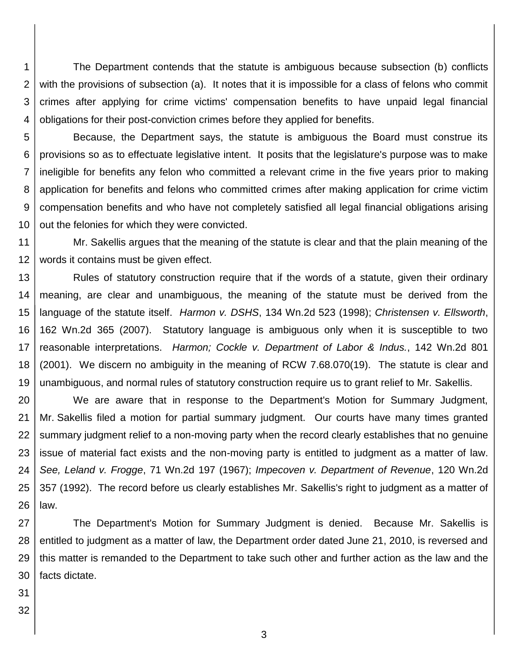1 2 3 4 The Department contends that the statute is ambiguous because subsection (b) conflicts with the provisions of subsection (a). It notes that it is impossible for a class of felons who commit crimes after applying for crime victims' compensation benefits to have unpaid legal financial obligations for their post-conviction crimes before they applied for benefits.

5

6 7 8 9 10 Because, the Department says, the statute is ambiguous the Board must construe its provisions so as to effectuate legislative intent. It posits that the legislature's purpose was to make ineligible for benefits any felon who committed a relevant crime in the five years prior to making application for benefits and felons who committed crimes after making application for crime victim compensation benefits and who have not completely satisfied all legal financial obligations arising out the felonies for which they were convicted.

11 12 Mr. Sakellis argues that the meaning of the statute is clear and that the plain meaning of the words it contains must be given effect.

13 14 15 16 17 18 19 Rules of statutory construction require that if the words of a statute, given their ordinary meaning, are clear and unambiguous, the meaning of the statute must be derived from the language of the statute itself. *Harmon v. DSHS*, 134 Wn.2d 523 (1998); *Christensen v. Ellsworth*, 162 Wn.2d 365 (2007). Statutory language is ambiguous only when it is susceptible to two reasonable interpretations. *Harmon; Cockle v. Department of Labor & Indus.*, 142 Wn.2d 801 (2001). We discern no ambiguity in the meaning of RCW 7.68.070(19). The statute is clear and unambiguous, and normal rules of statutory construction require us to grant relief to Mr. Sakellis.

20 21 22 23 24 25 26 We are aware that in response to the Department's Motion for Summary Judgment, Mr. Sakellis filed a motion for partial summary judgment. Our courts have many times granted summary judgment relief to a non-moving party when the record clearly establishes that no genuine issue of material fact exists and the non-moving party is entitled to judgment as a matter of law. *See, Leland v. Frogge*, 71 Wn.2d 197 (1967); *Impecoven v. Department of Revenue*, 120 Wn.2d 357 (1992). The record before us clearly establishes Mr. Sakellis's right to judgment as a matter of law.

27 28 29 30 The Department's Motion for Summary Judgment is denied. Because Mr. Sakellis is entitled to judgment as a matter of law, the Department order dated June 21, 2010, is reversed and this matter is remanded to the Department to take such other and further action as the law and the facts dictate.

- 31
- 32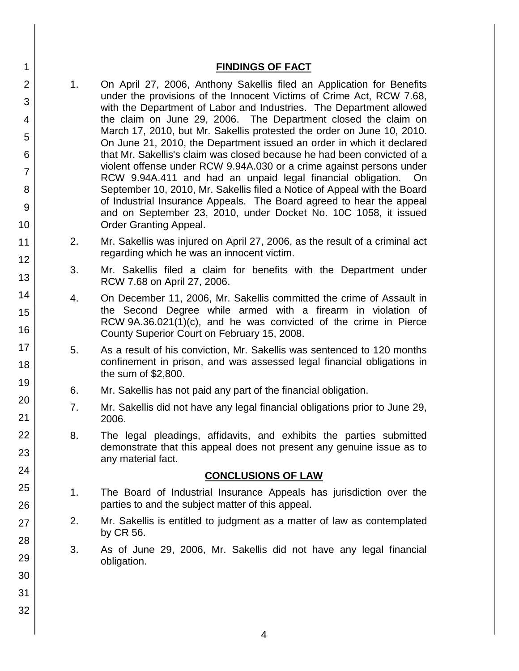#### **FINDINGS OF FACT**

- 1. On April 27, 2006, Anthony Sakellis filed an Application for Benefits under the provisions of the Innocent Victims of Crime Act, RCW 7.68, with the Department of Labor and Industries. The Department allowed the claim on June 29, 2006. The Department closed the claim on March 17, 2010, but Mr. Sakellis protested the order on June 10, 2010. On June 21, 2010, the Department issued an order in which it declared that Mr. Sakellis's claim was closed because he had been convicted of a violent offense under RCW 9.94A.030 or a crime against persons under RCW 9.94A.411 and had an unpaid legal financial obligation. On September 10, 2010, Mr. Sakellis filed a Notice of Appeal with the Board of Industrial Insurance Appeals. The Board agreed to hear the appeal and on September 23, 2010, under Docket No. 10C 1058, it issued Order Granting Appeal.
- 2. Mr. Sakellis was injured on April 27, 2006, as the result of a criminal act regarding which he was an innocent victim.
- 3. Mr. Sakellis filed a claim for benefits with the Department under RCW 7.68 on April 27, 2006.
- 4. On December 11, 2006, Mr. Sakellis committed the crime of Assault in the Second Degree while armed with a firearm in violation of RCW 9A.36.021(1)(c), and he was convicted of the crime in Pierce County Superior Court on February 15, 2008.
- 5. As a result of his conviction, Mr. Sakellis was sentenced to 120 months confinement in prison, and was assessed legal financial obligations in the sum of \$2,800.
- 6. Mr. Sakellis has not paid any part of the financial obligation.
- 7. Mr. Sakellis did not have any legal financial obligations prior to June 29, 2006.
- 8. The legal pleadings, affidavits, and exhibits the parties submitted demonstrate that this appeal does not present any genuine issue as to any material fact.

## **CONCLUSIONS OF LAW**

- 1. The Board of Industrial Insurance Appeals has jurisdiction over the parties to and the subject matter of this appeal.
- 2. Mr. Sakellis is entitled to judgment as a matter of law as contemplated by CR 56.
- 3. As of June 29, 2006, Mr. Sakellis did not have any legal financial obligation.
- 2 3 4 5 6 7 8 9 10 11 12 13 14 15 16 17 18 19 20 21 22 23 24 25 26 27 28 29 30 31 32

1